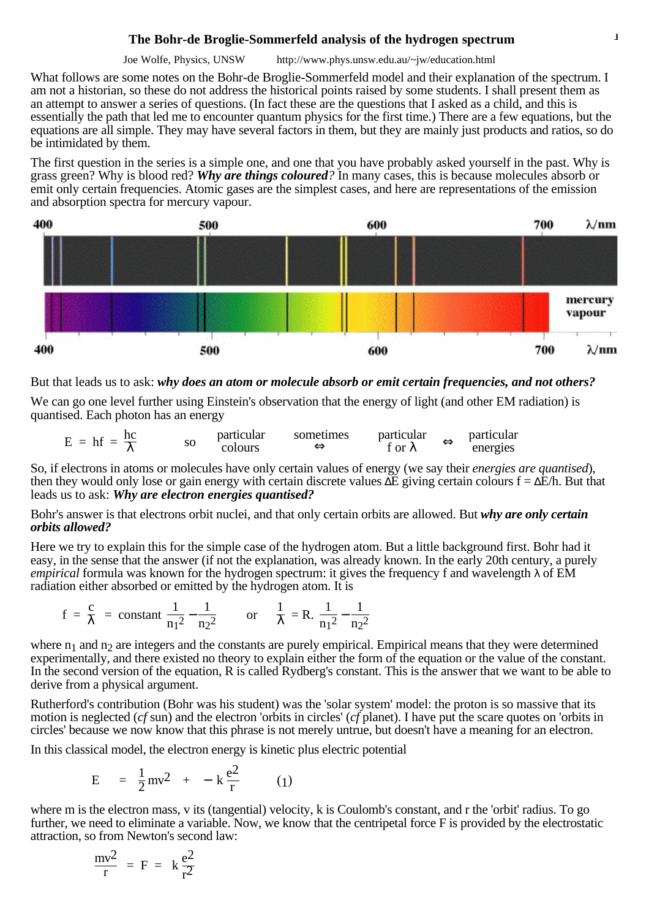## **The Bohr-de Broglie-Sommerfeld analysis of the hydrogen spectrum** 1

Joe Wolfe, Physics, UNSW http://www.phys.unsw.edu.au/~jw/education.html

What follows are some notes on the Bohr-de Broglie-Sommerfeld model and their explanation of the spectrum. I am not a historian, so these do not address the historical points raised by some students. I shall present them as an attempt to answer a series of questions. (In fact these are the questions that I asked as a child, and this is essentially the path that led me to encounter quantum physics for the first time.) There are a few equations, but the equations are all simple. They may have several factors in them, but they are mainly just products and ratios, so do be intimidated by them.

The first question in the series is a simple one, and one that you have probably asked yourself in the past. Why is grass green? Why is blood red? *Why are things coloured?* In many cases, this is because molecules absorb or emit only certain frequencies. Atomic gases are the simplest cases, and here are representations of the emission and absorption spectra for mercury vapour.



But that leads us to ask: *why does an atom or molecule absorb or emit certain frequencies, and not others?*

We can go one level further using Einstein's observation that the energy of light (and other EM radiation) is quantised. Each photon has an energy

$$
E = hf = \frac{hc}{\lambda}
$$
 so particular  
colours  $\Leftrightarrow$  for  $\lambda$   $\Leftrightarrow$  particular  
for  $\lambda$ 

So, if electrons in atoms or molecules have only certain values of energy (we say their *energies are quantised*), then they would only lose or gain energy with certain discrete values  $\Delta E$  giving certain colours  $f = \Delta E/h$ . But that leads us to ask: *Why are electron energies quantised?*

Bohr's answer is that electrons orbit nuclei, and that only certain orbits are allowed. But *why are only certain orbits allowed?*

Here we try to explain this for the simple case of the hydrogen atom. But a little background first. Bohr had it easy, in the sense that the answer (if not the explanation, was already known. In the early 20th century, a purely *empirical* formula was known for the hydrogen spectrum: it gives the frequency f and wavelength λ of EM radiation either absorbed or emitted by the hydrogen atom. It is

$$
f = \frac{c}{\lambda} = \text{constant} \left( \frac{1}{n_1^2} - \frac{1}{n_2^2} \right)
$$
 or  $\frac{1}{\lambda} = R \cdot \left( \frac{1}{n_1^2} - \frac{1}{n_2^2} \right)$ 

where  $n_1$  and  $n_2$  are integers and the constants are purely empirical. Empirical means that they were determined experimentally, and there existed no theory to explain either the form of the equation or the value of the constant. In the second version of the equation, R is called Rydberg's constant. This is the answer that we want to be able to derive from a physical argument.

Rutherford's contribution (Bohr was his student) was the 'solar system' model: the proton is so massive that its motion is neglected (*cf* sun) and the electron 'orbits in circles' (*cf* planet). I have put the scare quotes on 'orbits in circles' because we now know that this phrase is not merely untrue, but doesn't have a meaning for an electron.

In this classical model, the electron energy is kinetic plus electric potential

$$
E = \left(\frac{1}{2}mv^2\right) + \left(-k\frac{e^2}{r}\right) \qquad (1)
$$

where m is the electron mass, v its (tangential) velocity, k is Coulomb's constant, and r the 'orbit' radius. To go further, we need to eliminate a variable. Now, we know that the centripetal force F is provided by the electrostatic attraction, so from Newton's second law:

$$
\frac{mv^2}{r} = F = k \frac{e^2}{r^2}
$$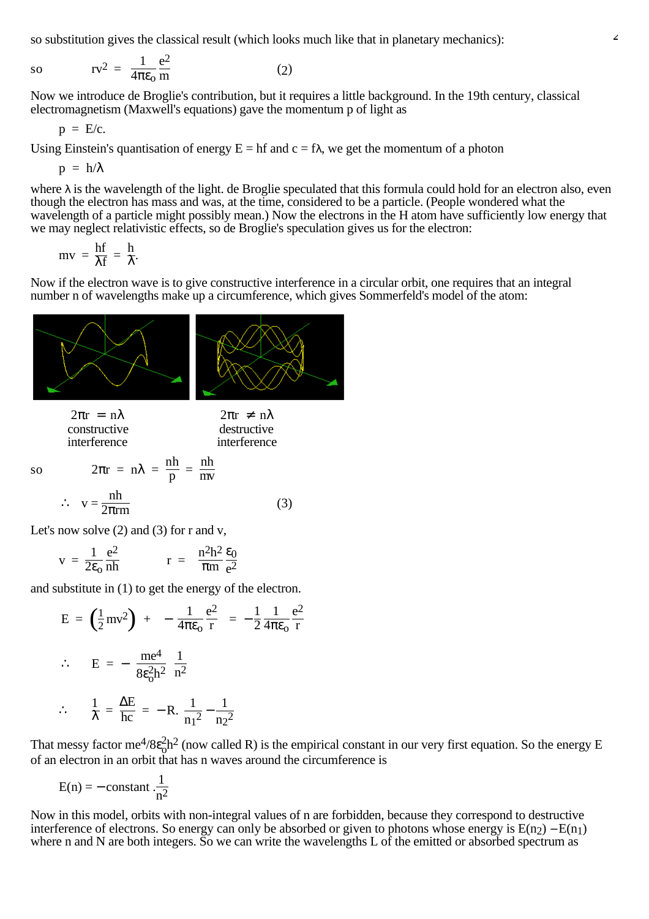so substitution gives the classical result (which looks much like that in planetary mechanics):

$$
sv \qquad rv^2 = \frac{1}{4\pi\varepsilon_0} \frac{e^2}{m} \tag{2}
$$

Now we introduce de Broglie's contribution, but it requires a little background. In the 19th century, classical electromagnetism (Maxwell's equations) gave the momentum p of light as

$$
p~=~E/c.
$$

Using Einstein's quantisation of energy  $E = hf$  and  $c = f\lambda$ , we get the momentum of a photon

 $p = h/\lambda$ 

where  $\lambda$  is the wavelength of the light, de Broglie speculated that this formula could hold for an electron also, even though the electron has mass and was, at the time, considered to be a particle. (People wondered what the wavelength of a particle might possibly mean.) Now the electrons in the H atom have sufficiently low energy that we may neglect relativistic effects, so de Broglie's speculation gives us for the electron:

$$
mv = \frac{hf}{\lambda f} = \frac{h}{\lambda}.
$$

Now if the electron wave is to give constructive interference in a circular orbit, one requires that an integral number n of wavelengths make up a circumference, which gives Sommerfeld's model of the atom:



constructive interference destructive interference

so  $2\pi r = n\lambda = \frac{n h}{R}$ 

$$
\therefore \quad v = \frac{nh}{2\pi r m} \tag{3}
$$

 $\frac{dh}{p} = \frac{nh}{mv}$ 

Let's now solve  $(2)$  and  $(3)$  for r and v,

$$
v = \frac{1}{2\varepsilon_0} \frac{e^2}{nh} \qquad r = \frac{n^2h^2}{\pi m} \frac{\varepsilon_0}{e^2}
$$

and substitute in (1) to get the energy of the electron.

$$
E = \left(\frac{1}{2}mv^2\right) + \left(-\frac{1}{4\pi\epsilon_0}\frac{e^2}{r}\right) = -\frac{1}{2}\frac{1}{4\pi\epsilon_0}\frac{e^2}{r}
$$
  

$$
\therefore E = -\left(\frac{me^4}{8\epsilon_0^2h^2}\right)\frac{1}{n^2}
$$
  

$$
\therefore \frac{1}{\lambda} = \frac{\Delta E}{hc} = -R\left(\frac{1}{n_1^2} - \frac{1}{n_2^2}\right)
$$

That messy factor me<sup>4</sup>/8 $\varepsilon_0^2$ h<sup>2</sup> (now called R) is the empirical constant in our very first equation. So the energy E of an electron in an orbit that has n waves around the circumference is

$$
E(n) = -\text{ constant } \frac{1}{n^2}
$$

Now in this model, orbits with non-integral values of n are forbidden, because they correspond to destructive interference of electrons. So energy can only be absorbed or given to photons whose energy is  $E(n_2) - E(n_1)$ where n and N are both integers. So we can write the wavelengths L of the emitted or absorbed spectrum as